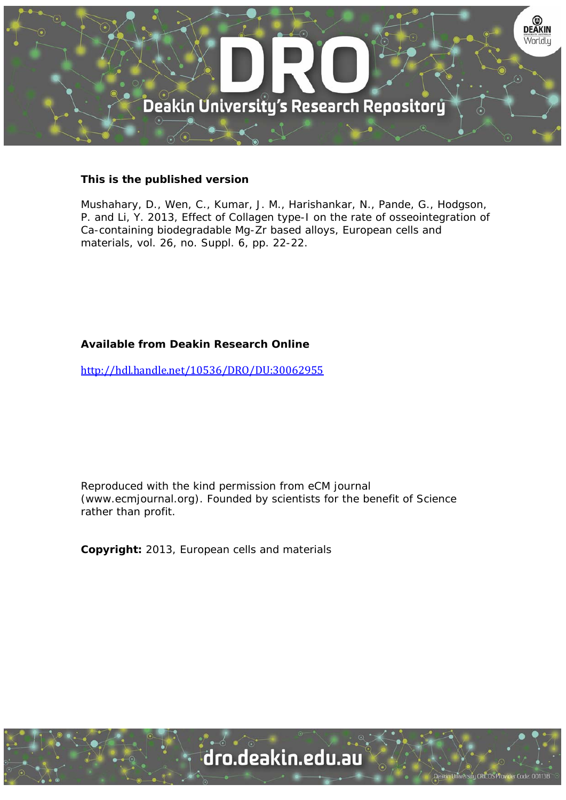

## **This is the published version**

Mushahary, D., Wen, C., Kumar, J. M., Harishankar, N., Pande, G., Hodgson, P. and Li, Y. 2013, Effect of Collagen type-I on the rate of osseointegration of Ca-containing biodegradable Mg-Zr based alloys, European cells and materials, vol. 26, no. Suppl. 6, pp. 22-22.

## **Available from Deakin Research Online**

http://hdl.handle.net/10536/DRO/DU:30062955

Reproduced with the kind permission from eCM journal (www.ecmjournal.org). Founded by scientists for the benefit of Science rather than profit.

**Copyright:** 2013, European cells and materials

University CRICOS Provider Code: 00113B